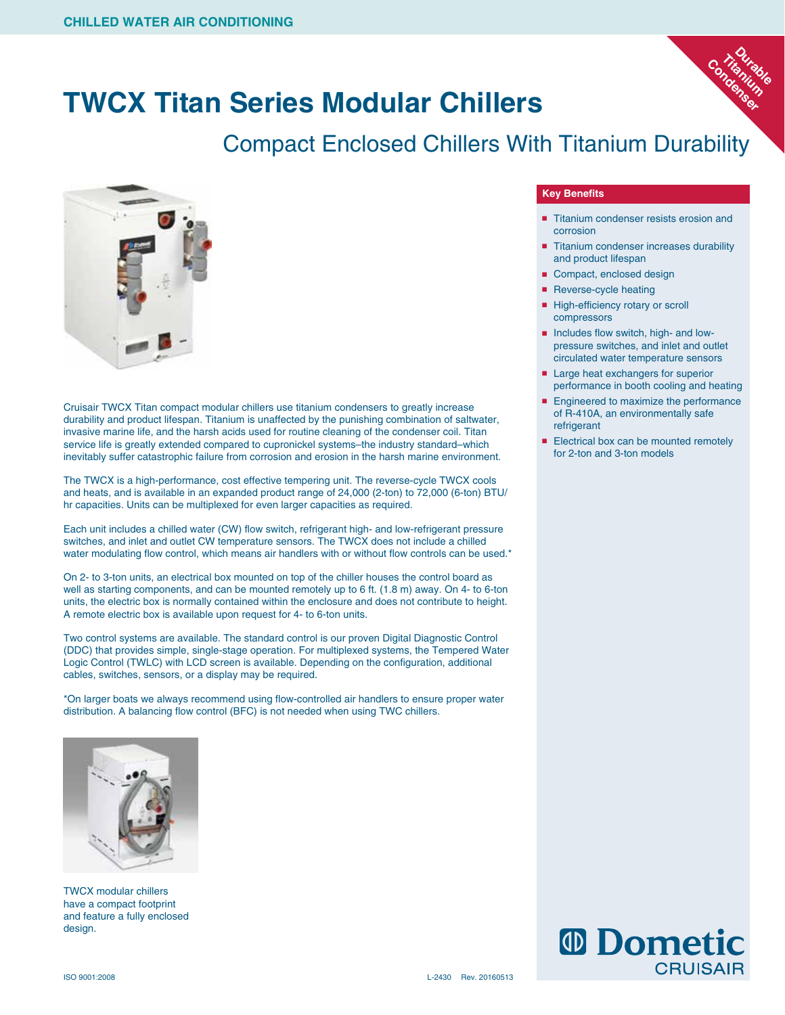# **TWCX Titan Series Modular Chillers**

# Compact Enclosed Chillers With Titanium Durability



Cruisair TWCX Titan compact modular chillers use titanium condensers to greatly increase durability and product lifespan. Titanium is unaffected by the punishing combination of saltwater, invasive marine life, and the harsh acids used for routine cleaning of the condenser coil. Titan service life is greatly extended compared to cupronickel systems–the industry standard–which inevitably suffer catastrophic failure from corrosion and erosion in the harsh marine environment.

The TWCX is a high-performance, cost effective tempering unit. The reverse-cycle TWCX cools and heats, and is available in an expanded product range of 24,000 (2-ton) to 72,000 (6-ton) BTU/ hr capacities. Units can be multiplexed for even larger capacities as required.

Each unit includes a chilled water (CW) flow switch, refrigerant high- and low-refrigerant pressure switches, and inlet and outlet CW temperature sensors. The TWCX does not include a chilled water modulating flow control, which means air handlers with or without flow controls can be used.\*

On 2- to 3-ton units, an electrical box mounted on top of the chiller houses the control board as well as starting components, and can be mounted remotely up to 6 ft. (1.8 m) away. On 4- to 6-ton units, the electric box is normally contained within the enclosure and does not contribute to height. A remote electric box is available upon request for 4- to 6-ton units.

Two control systems are available. The standard control is our proven Digital Diagnostic Control (DDC) that provides simple, single-stage operation. For multiplexed systems, the Tempered Water Logic Control (TWLC) with LCD screen is available. Depending on the configuration, additional cables, switches, sensors, or a display may be required.

\*On larger boats we always recommend using flow-controlled air handlers to ensure proper water distribution. A balancing flow control (BFC) is not needed when using TWC chillers.



TWCX modular chillers have a compact footprint and feature a fully enclosed design.

# **Key Benefits**

■ Titanium condenser resists erosion and corrosion

**Durable**<br>anitable **Titanium**  Condenium

- Titanium condenser increases durability and product lifespan
- Compact, enclosed design
- Reverse-cycle heating
- High-efficiency rotary or scroll compressors
- Includes flow switch, high- and lowpressure switches, and inlet and outlet circulated water temperature sensors
- Large heat exchangers for superior performance in booth cooling and heating
- Engineered to maximize the performance of R-410A, an environmentally safe refrigerant
- Electrical box can be mounted remotely for 2-ton and 3-ton models